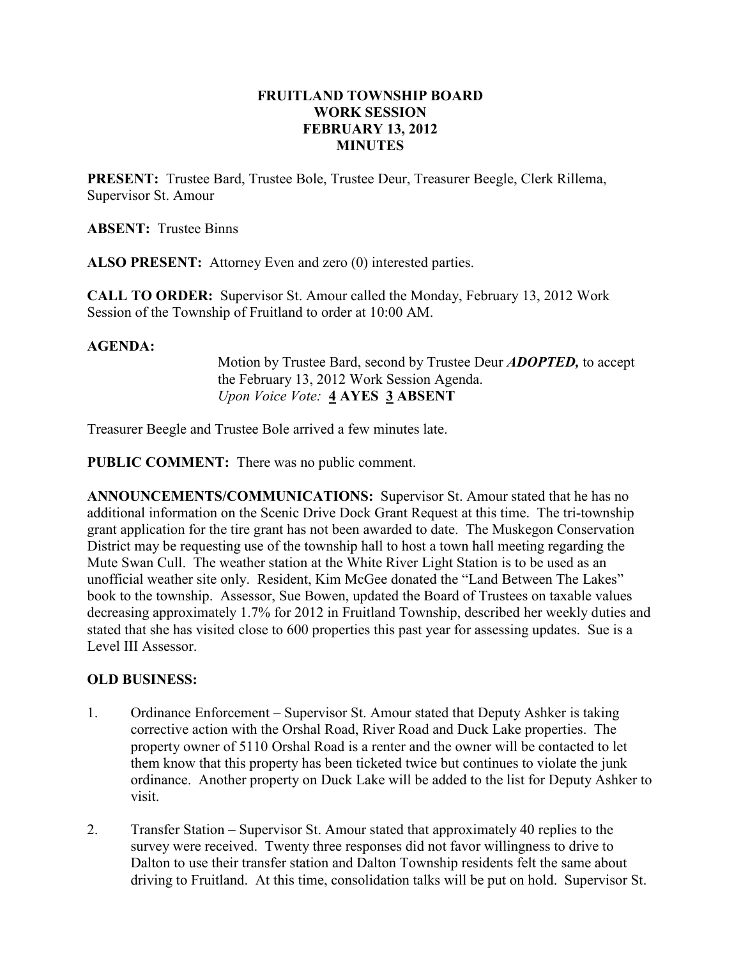### FRUITLAND TOWNSHIP BOARD WORK SESSION FEBRUARY 13, 2012 MINUTES

PRESENT: Trustee Bard, Trustee Bole, Trustee Deur, Treasurer Beegle, Clerk Rillema, Supervisor St. Amour

ABSENT: Trustee Binns

ALSO PRESENT: Attorney Even and zero (0) interested parties.

CALL TO ORDER: Supervisor St. Amour called the Monday, February 13, 2012 Work Session of the Township of Fruitland to order at 10:00 AM.

### AGENDA:

Motion by Trustee Bard, second by Trustee Deur **ADOPTED**, to accept the February 13, 2012 Work Session Agenda. Upon Voice Vote: 4 AYES 3 ABSENT

Treasurer Beegle and Trustee Bole arrived a few minutes late.

PUBLIC COMMENT: There was no public comment.

ANNOUNCEMENTS/COMMUNICATIONS: Supervisor St. Amour stated that he has no additional information on the Scenic Drive Dock Grant Request at this time. The tri-township grant application for the tire grant has not been awarded to date. The Muskegon Conservation District may be requesting use of the township hall to host a town hall meeting regarding the Mute Swan Cull. The weather station at the White River Light Station is to be used as an unofficial weather site only. Resident, Kim McGee donated the "Land Between The Lakes" book to the township. Assessor, Sue Bowen, updated the Board of Trustees on taxable values decreasing approximately 1.7% for 2012 in Fruitland Township, described her weekly duties and stated that she has visited close to 600 properties this past year for assessing updates. Sue is a Level III Assessor.

# OLD BUSINESS:

- 1. Ordinance Enforcement Supervisor St. Amour stated that Deputy Ashker is taking corrective action with the Orshal Road, River Road and Duck Lake properties. The property owner of 5110 Orshal Road is a renter and the owner will be contacted to let them know that this property has been ticketed twice but continues to violate the junk ordinance. Another property on Duck Lake will be added to the list for Deputy Ashker to visit.
- 2. Transfer Station Supervisor St. Amour stated that approximately 40 replies to the survey were received. Twenty three responses did not favor willingness to drive to Dalton to use their transfer station and Dalton Township residents felt the same about driving to Fruitland. At this time, consolidation talks will be put on hold. Supervisor St.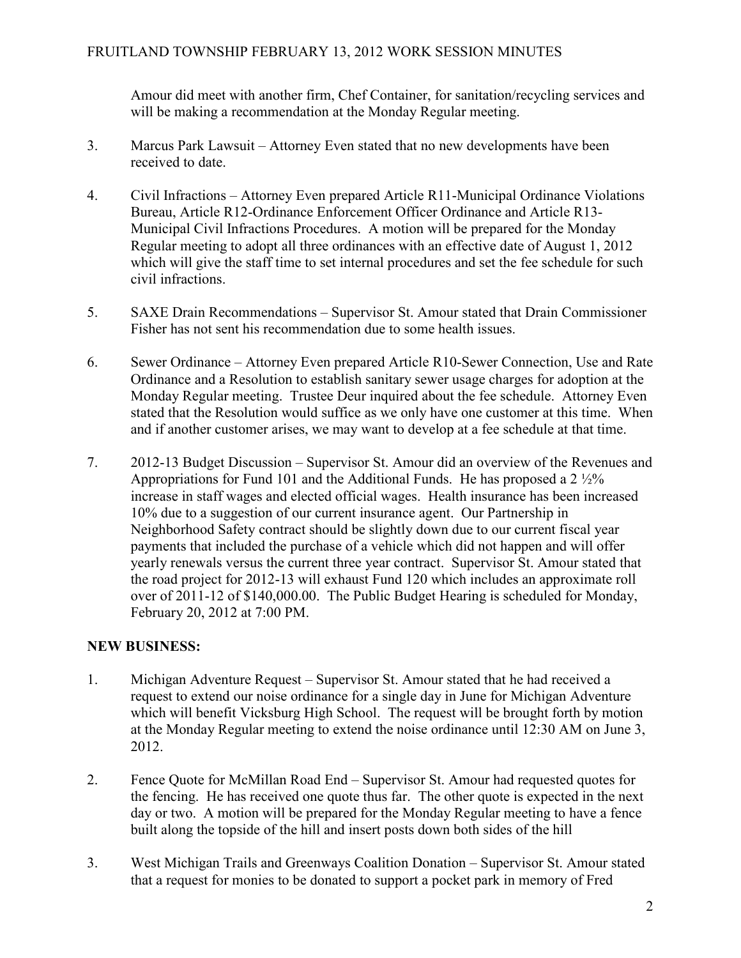Amour did meet with another firm, Chef Container, for sanitation/recycling services and will be making a recommendation at the Monday Regular meeting.

- 3. Marcus Park Lawsuit Attorney Even stated that no new developments have been received to date.
- 4. Civil Infractions Attorney Even prepared Article R11-Municipal Ordinance Violations Bureau, Article R12-Ordinance Enforcement Officer Ordinance and Article R13- Municipal Civil Infractions Procedures. A motion will be prepared for the Monday Regular meeting to adopt all three ordinances with an effective date of August 1, 2012 which will give the staff time to set internal procedures and set the fee schedule for such civil infractions.
- 5. SAXE Drain Recommendations Supervisor St. Amour stated that Drain Commissioner Fisher has not sent his recommendation due to some health issues.
- 6. Sewer Ordinance Attorney Even prepared Article R10-Sewer Connection, Use and Rate Ordinance and a Resolution to establish sanitary sewer usage charges for adoption at the Monday Regular meeting. Trustee Deur inquired about the fee schedule. Attorney Even stated that the Resolution would suffice as we only have one customer at this time. When and if another customer arises, we may want to develop at a fee schedule at that time.
- 7. 2012-13 Budget Discussion Supervisor St. Amour did an overview of the Revenues and Appropriations for Fund 101 and the Additional Funds. He has proposed a  $2\frac{1}{2}\%$ increase in staff wages and elected official wages. Health insurance has been increased 10% due to a suggestion of our current insurance agent. Our Partnership in Neighborhood Safety contract should be slightly down due to our current fiscal year payments that included the purchase of a vehicle which did not happen and will offer yearly renewals versus the current three year contract. Supervisor St. Amour stated that the road project for 2012-13 will exhaust Fund 120 which includes an approximate roll over of 2011-12 of \$140,000.00. The Public Budget Hearing is scheduled for Monday, February 20, 2012 at 7:00 PM.

# NEW BUSINESS:

- 1. Michigan Adventure Request Supervisor St. Amour stated that he had received a request to extend our noise ordinance for a single day in June for Michigan Adventure which will benefit Vicksburg High School. The request will be brought forth by motion at the Monday Regular meeting to extend the noise ordinance until 12:30 AM on June 3, 2012.
- 2. Fence Quote for McMillan Road End Supervisor St. Amour had requested quotes for the fencing. He has received one quote thus far. The other quote is expected in the next day or two. A motion will be prepared for the Monday Regular meeting to have a fence built along the topside of the hill and insert posts down both sides of the hill
- 3. West Michigan Trails and Greenways Coalition Donation Supervisor St. Amour stated that a request for monies to be donated to support a pocket park in memory of Fred